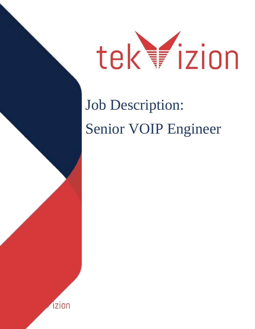

# Job Description: Senior VOIP Engineer

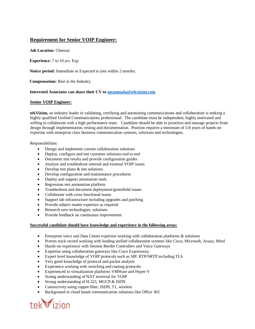## **Requirement for Senior VOIP Engineer:**

**Job Location:** Chennai

**Experience:** 7 to 10 yrs. Exp

**Notice period:** Immediate or Expected to join within 2 months.

**Compensation:** Best in the Industry.

**Interested Associates can share their CV t[o mrponnala@tekvizion.com](file:///C:/Users/mrponnala/Desktop/mrponnala@tekvizion.com)**

#### **Senior VOIP Engineer:**

**tekVizion,** an industry leader in validating, certifying and automating communications and collaboration is seeking a highly qualified Unified Communications professional. The candidate must be independent, highly motivated and willing to collaborate with a high performance team. Candidate should be able to prioritize and manage projects from design through implementation, testing and documentation. Position requires a minimum of 5-8 years of hands-on expertise with enterprise class business communication systems, solutions and technologies.

Responsibilities:

- Design and implement custom collaboration solutions
- Deploy, configure and test customer solutions end to end
- Document test results and provide configuration guides
- Analyze and troubleshoot internal and external VOIP issues
- $\bullet$  Develop test plans  $\&$  test solutions
- Develop configuration and maintenance procedures
- Deploy and support automation tools
- Regression test automation platform
- Troubleshoot and document deployment/greenfield issues
- Collaborate with cross functional teams
- Support lab infrastructure including upgrades and patching
- Provide subject matter expertize as required
- Research new technologies, solutions
- Provide feedback on continuous improvement

#### **Successful candidate should have knowledge and experience in the following areas:**

- Enterprise voice and Data Center expertise working with collaboration platforms & solutions
- Proven track record working with leading unified collaboration systems like Cisco, Microsoft, Avaya, Mitel
- Hands-on experience with Session Border Controllers and Voice Gateways
- Expertise using collaboration gateways like Cisco Expressway
- Expert level knowledge of VOIP protocols such as SIP, RTP/SRTP including TLS
- Very good knowledge of protocol and packet analysis
- Experience working with switching and routing protocols
- Experienced in virtualization platforms VMWare and Hyper-V
- Strong understanding of NAT traversal for VOIP
- Strong understanding of H.323, MGCP & ISDN
- Connectivity using copper/fiber, ISDN, T1, wireless
- Background in cloud based communication solutions like Office 365